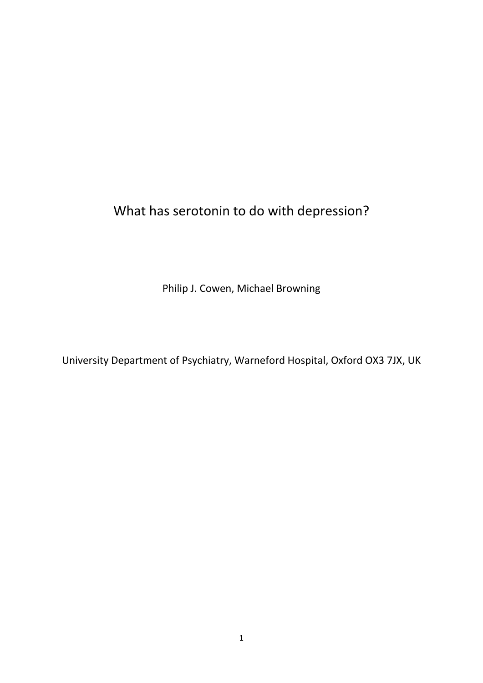What has serotonin to do with depression?

Philip J. Cowen, Michael Browning

University Department of Psychiatry, Warneford Hospital, Oxford OX3 7JX, UK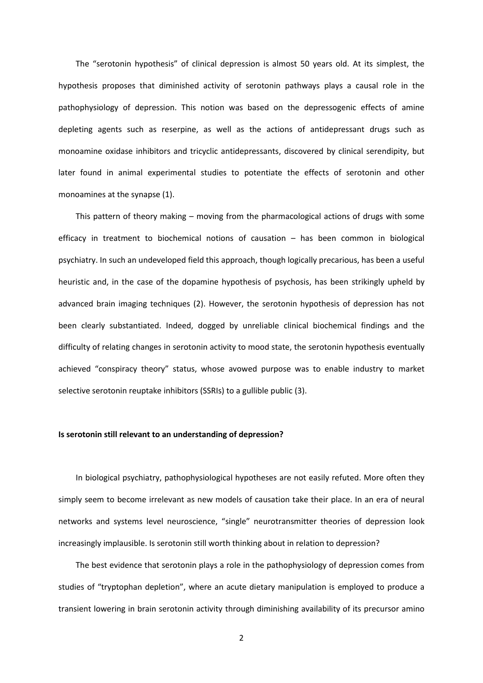The "serotonin hypothesis" of clinical depression is almost 50 years old. At its simplest, the hypothesis proposes that diminished activity of serotonin pathways plays a causal role in the pathophysiology of depression. This notion was based on the depressogenic effects of amine depleting agents such as reserpine, as well as the actions of antidepressant drugs such as monoamine oxidase inhibitors and tricyclic antidepressants, discovered by clinical serendipity, but later found in animal experimental studies to potentiate the effects of serotonin and other monoamines at the synapse (1).

This pattern of theory making – moving from the pharmacological actions of drugs with some efficacy in treatment to biochemical notions of causation – has been common in biological psychiatry. In such an undeveloped field this approach, though logically precarious, has been a useful heuristic and, in the case of the dopamine hypothesis of psychosis, has been strikingly upheld by advanced brain imaging techniques (2). However, the serotonin hypothesis of depression has not been clearly substantiated. Indeed, dogged by unreliable clinical biochemical findings and the difficulty of relating changes in serotonin activity to mood state, the serotonin hypothesis eventually achieved "conspiracy theory" status, whose avowed purpose was to enable industry to market selective serotonin reuptake inhibitors (SSRIs) to a gullible public (3).

#### **Is serotonin still relevant to an understanding of depression?**

In biological psychiatry, pathophysiological hypotheses are not easily refuted. More often they simply seem to become irrelevant as new models of causation take their place. In an era of neural networks and systems level neuroscience, "single" neurotransmitter theories of depression look increasingly implausible. Is serotonin still worth thinking about in relation to depression?

The best evidence that serotonin plays a role in the pathophysiology of depression comes from studies of "tryptophan depletion", where an acute dietary manipulation is employed to produce a transient lowering in brain serotonin activity through diminishing availability of its precursor amino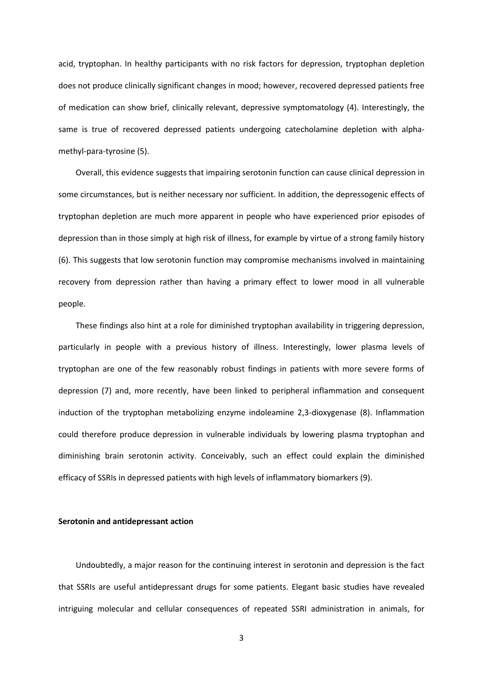acid, tryptophan. In healthy participants with no risk factors for depression, tryptophan depletion does not produce clinically significant changes in mood; however, recovered depressed patients free of medication can show brief, clinically relevant, depressive symptomatology (4). Interestingly, the same is true of recovered depressed patients undergoing catecholamine depletion with alphamethyl-para-tyrosine (5).

Overall, this evidence suggests that impairing serotonin function can cause clinical depression in some circumstances, but is neither necessary nor sufficient. In addition, the depressogenic effects of tryptophan depletion are much more apparent in people who have experienced prior episodes of depression than in those simply at high risk of illness, for example by virtue of a strong family history (6). This suggests that low serotonin function may compromise mechanisms involved in maintaining recovery from depression rather than having a primary effect to lower mood in all vulnerable people.

These findings also hint at a role for diminished tryptophan availability in triggering depression, particularly in people with a previous history of illness. Interestingly, lower plasma levels of tryptophan are one of the few reasonably robust findings in patients with more severe forms of depression (7) and, more recently, have been linked to peripheral inflammation and consequent induction of the tryptophan metabolizing enzyme indoleamine 2,3-dioxygenase (8). Inflammation could therefore produce depression in vulnerable individuals by lowering plasma tryptophan and diminishing brain serotonin activity. Conceivably, such an effect could explain the diminished efficacy of SSRIs in depressed patients with high levels of inflammatory biomarkers (9).

## **Serotonin and antidepressant action**

Undoubtedly, a major reason for the continuing interest in serotonin and depression is the fact that SSRIs are useful antidepressant drugs for some patients. Elegant basic studies have revealed intriguing molecular and cellular consequences of repeated SSRI administration in animals, for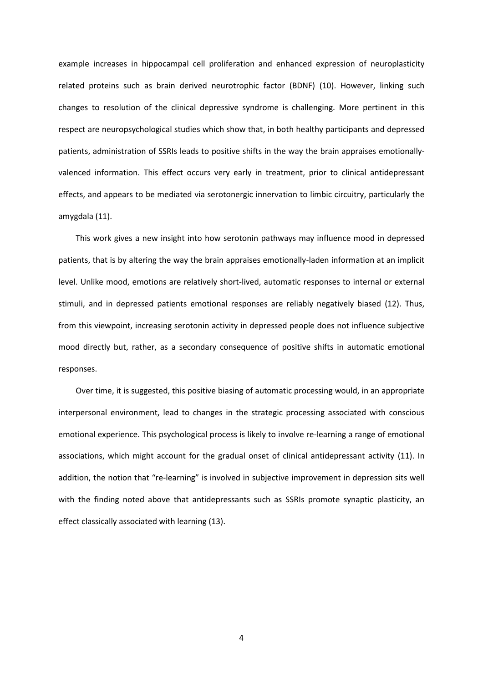example increases in hippocampal cell proliferation and enhanced expression of neuroplasticity related proteins such as brain derived neurotrophic factor (BDNF) (10). However, linking such changes to resolution of the clinical depressive syndrome is challenging. More pertinent in this respect are neuropsychological studies which show that, in both healthy participants and depressed patients, administration of SSRIs leads to positive shifts in the way the brain appraises emotionallyvalenced information. This effect occurs very early in treatment, prior to clinical antidepressant effects, and appears to be mediated via serotonergic innervation to limbic circuitry, particularly the amygdala (11).

This work gives a new insight into how serotonin pathways may influence mood in depressed patients, that is by altering the way the brain appraises emotionally-laden information at an implicit level. Unlike mood, emotions are relatively short-lived, automatic responses to internal or external stimuli, and in depressed patients emotional responses are reliably negatively biased (12). Thus, from this viewpoint, increasing serotonin activity in depressed people does not influence subjective mood directly but, rather, as a secondary consequence of positive shifts in automatic emotional responses.

Over time, it is suggested, this positive biasing of automatic processing would, in an appropriate interpersonal environment, lead to changes in the strategic processing associated with conscious emotional experience. This psychological process is likely to involve re-learning a range of emotional associations, which might account for the gradual onset of clinical antidepressant activity (11). In addition, the notion that "re-learning" is involved in subjective improvement in depression sits well with the finding noted above that antidepressants such as SSRIs promote synaptic plasticity, an effect classically associated with learning (13).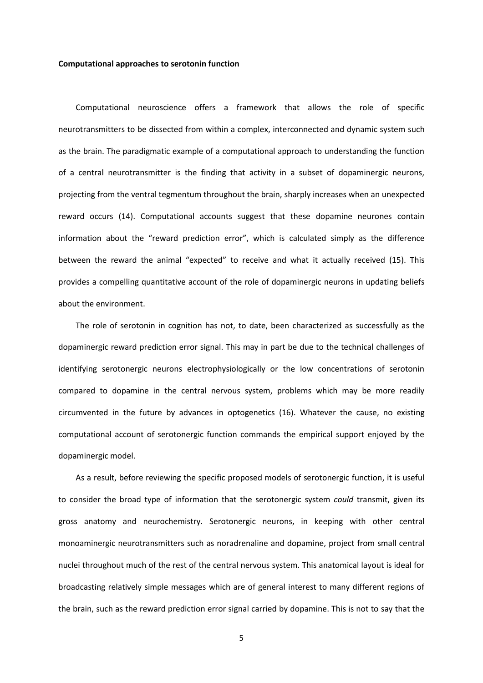### **Computational approaches to serotonin function**

Computational neuroscience offers a framework that allows the role of specific neurotransmitters to be dissected from within a complex, interconnected and dynamic system such as the brain. The paradigmatic example of a computational approach to understanding the function of a central neurotransmitter is the finding that activity in a subset of dopaminergic neurons, projecting from the ventral tegmentum throughout the brain, sharply increases when an unexpected reward occurs (14). Computational accounts suggest that these dopamine neurones contain information about the "reward prediction error", which is calculated simply as the difference between the reward the animal "expected" to receive and what it actually received (15). This provides a compelling quantitative account of the role of dopaminergic neurons in updating beliefs about the environment.

The role of serotonin in cognition has not, to date, been characterized as successfully as the dopaminergic reward prediction error signal. This may in part be due to the technical challenges of identifying serotonergic neurons electrophysiologically or the low concentrations of serotonin compared to dopamine in the central nervous system, problems which may be more readily circumvented in the future by advances in optogenetics (16). Whatever the cause, no existing computational account of serotonergic function commands the empirical support enjoyed by the dopaminergic model.

As a result, before reviewing the specific proposed models of serotonergic function, it is useful to consider the broad type of information that the serotonergic system *could* transmit, given its gross anatomy and neurochemistry. Serotonergic neurons, in keeping with other central monoaminergic neurotransmitters such as noradrenaline and dopamine, project from small central nuclei throughout much of the rest of the central nervous system. This anatomical layout is ideal for broadcasting relatively simple messages which are of general interest to many different regions of the brain, such as the reward prediction error signal carried by dopamine. This is not to say that the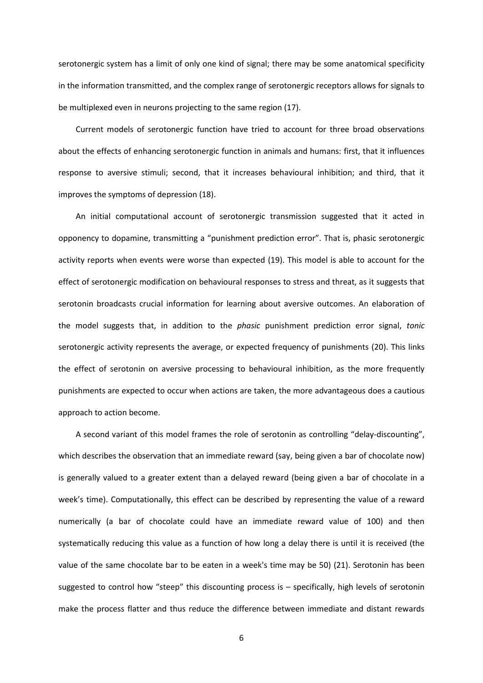serotonergic system has a limit of only one kind of signal; there may be some anatomical specificity in the information transmitted, and the complex range of serotonergic receptors allows for signals to be multiplexed even in neurons projecting to the same region (17).

Current models of serotonergic function have tried to account for three broad observations about the effects of enhancing serotonergic function in animals and humans: first, that it influences response to aversive stimuli; second, that it increases behavioural inhibition; and third, that it improves the symptoms of depression (18).

An initial computational account of serotonergic transmission suggested that it acted in opponency to dopamine, transmitting a "punishment prediction error". That is, phasic serotonergic activity reports when events were worse than expected (19). This model is able to account for the effect of serotonergic modification on behavioural responses to stress and threat, as it suggests that serotonin broadcasts crucial information for learning about aversive outcomes. An elaboration of the model suggests that, in addition to the *phasic* punishment prediction error signal, *tonic*  serotonergic activity represents the average, or expected frequency of punishments (20). This links the effect of serotonin on aversive processing to behavioural inhibition, as the more frequently punishments are expected to occur when actions are taken, the more advantageous does a cautious approach to action become.

A second variant of this model frames the role of serotonin as controlling "delay-discounting", which describes the observation that an immediate reward (say, being given a bar of chocolate now) is generally valued to a greater extent than a delayed reward (being given a bar of chocolate in a week's time). Computationally, this effect can be described by representing the value of a reward numerically (a bar of chocolate could have an immediate reward value of 100) and then systematically reducing this value as a function of how long a delay there is until it is received (the value of the same chocolate bar to be eaten in a week's time may be 50) (21). Serotonin has been suggested to control how "steep" this discounting process is – specifically, high levels of serotonin make the process flatter and thus reduce the difference between immediate and distant rewards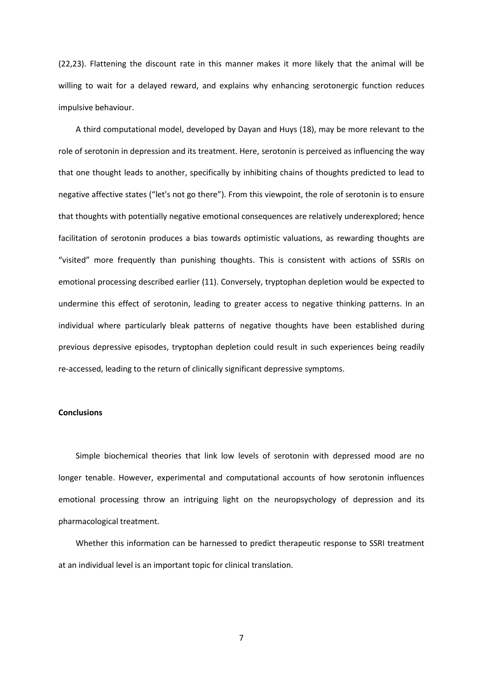(22,23). Flattening the discount rate in this manner makes it more likely that the animal will be willing to wait for a delayed reward, and explains why enhancing serotonergic function reduces impulsive behaviour.

A third computational model, developed by Dayan and Huys (18), may be more relevant to the role of serotonin in depression and its treatment. Here, serotonin is perceived as influencing the way that one thought leads to another, specifically by inhibiting chains of thoughts predicted to lead to negative affective states ("let's not go there"). From this viewpoint, the role of serotonin is to ensure that thoughts with potentially negative emotional consequences are relatively underexplored; hence facilitation of serotonin produces a bias towards optimistic valuations, as rewarding thoughts are "visited" more frequently than punishing thoughts. This is consistent with actions of SSRIs on emotional processing described earlier (11). Conversely, tryptophan depletion would be expected to undermine this effect of serotonin, leading to greater access to negative thinking patterns. In an individual where particularly bleak patterns of negative thoughts have been established during previous depressive episodes, tryptophan depletion could result in such experiences being readily re-accessed, leading to the return of clinically significant depressive symptoms.

# **Conclusions**

Simple biochemical theories that link low levels of serotonin with depressed mood are no longer tenable. However, experimental and computational accounts of how serotonin influences emotional processing throw an intriguing light on the neuropsychology of depression and its pharmacological treatment.

Whether this information can be harnessed to predict therapeutic response to SSRI treatment at an individual level is an important topic for clinical translation.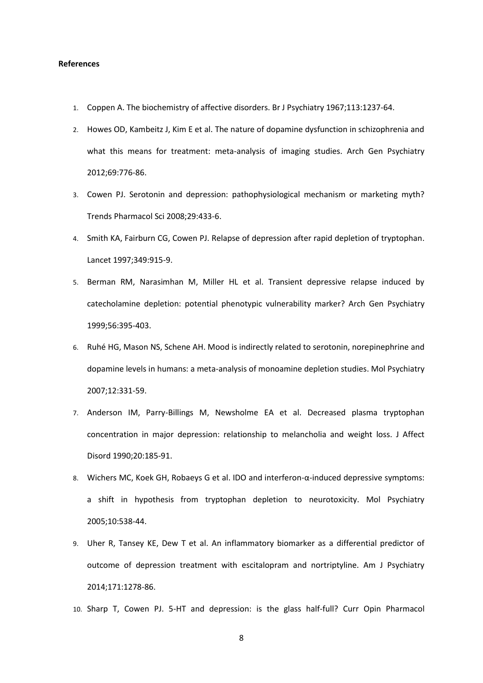### **References**

- 1. Coppen A. The biochemistry of affective disorders. Br J Psychiatry 1967;113:1237-64.
- 2. Howes OD, Kambeitz J, Kim E et al. The nature of dopamine dysfunction in schizophrenia and what this means for treatment: meta-analysis of imaging studies. Arch Gen Psychiatry 2012;69:776-86.
- 3. Cowen PJ. Serotonin and depression: pathophysiological mechanism or marketing myth? Trends Pharmacol Sci 2008;29:433-6.
- 4. Smith KA, Fairburn CG, Cowen PJ. Relapse of depression after rapid depletion of tryptophan. Lancet 1997;349:915-9.
- 5. Berman RM, Narasimhan M, Miller HL et al. Transient depressive relapse induced by catecholamine depletion: potential phenotypic vulnerability marker? Arch Gen Psychiatry 1999;56:395-403.
- 6. Ruhé HG, Mason NS, Schene AH. Mood is indirectly related to serotonin, norepinephrine and dopamine levels in humans: a meta-analysis of monoamine depletion studies. Mol Psychiatry 2007;12:331-59.
- 7. Anderson IM, Parry-Billings M, Newsholme EA et al. Decreased plasma tryptophan concentration in major depression: relationship to melancholia and weight loss. J Affect Disord 1990;20:185-91.
- 8. Wichers MC, Koek GH, Robaeys G et al. IDO and interferon-α-induced depressive symptoms: a shift in hypothesis from tryptophan depletion to neurotoxicity. Mol Psychiatry 2005;10:538-44.
- 9. Uher R, Tansey KE, Dew T et al. An inflammatory biomarker as a differential predictor of outcome of depression treatment with escitalopram and nortriptyline. Am J Psychiatry 2014;171:1278-86.
- 10. Sharp T, Cowen PJ. 5-HT and depression: is the glass half-full? Curr Opin Pharmacol